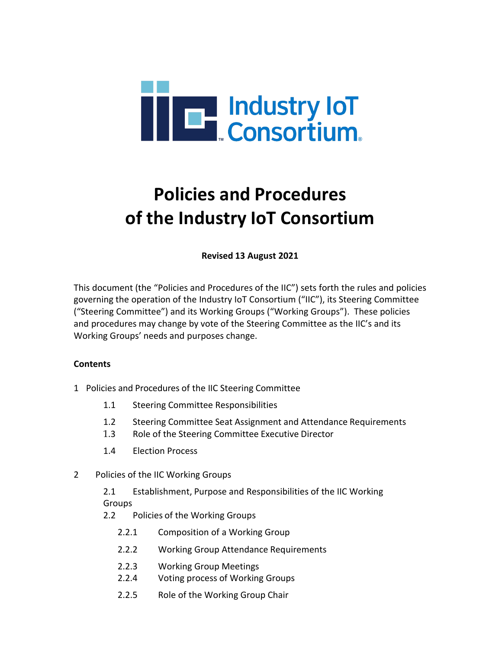

# **Policies and Procedures of the Industry IoT Consortium**

**Revised 13 August 2021**

This document (the "Policies and Procedures of the IIC") sets forth the rules and policies governing the operation of the Industry IoT Consortium ("IIC"), its Steering Committee ("Steering Committee") and its Working Groups ("Working Groups"). These policies and procedures may change by vote of the Steering Committee as the IIC's and its Working Groups' needs and purposes change.

#### **Contents**

- 1 Policies and Procedures of the IIC Steering Committee
	- 1.1 Steering Committee Responsibilities
	- 1.2 Steering Committee Seat Assignment and Attendance Requirements
	- 1.3 Role of the Steering Committee Executive Director
	- 1.4 Election Process
- 2 Policies of the IIC Working Groups

2.1 Establishment, Purpose and Responsibilities of the IIC Working Groups

- 2.2 Policies of the Working Groups
	- 2.2.1 Composition of a Working Group
	- 2.2.2 Working Group Attendance Requirements
	- 2.2.3 Working Group Meetings
	- 2.2.4 Voting process of Working Groups
	- 2.2.5 Role of the Working Group Chair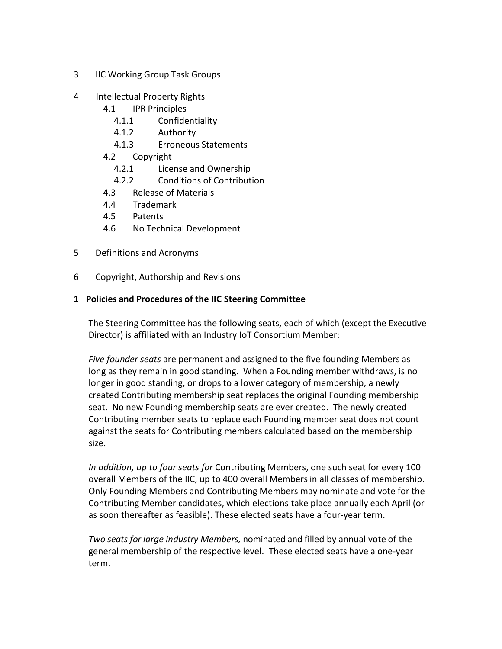- 3 IIC Working Group Task Groups
- 4 Intellectual Property Rights
	- 4.1 IPR Principles
		- 4.1.1 Confidentiality
		- 4.1.2 Authority
		- 4.1.3 Erroneous Statements
	- 4.2 Copyright
		- 4.2.1 License and Ownership
		- 4.2.2 Conditions of Contribution
	- 4.3 Release of Materials
	- 4.4 Trademark
	- 4.5 Patents
	- 4.6 No Technical Development
- 5 Definitions and Acronyms
- 6 Copyright, Authorship and Revisions

#### **1 Policies and Procedures of the IIC Steering Committee**

The Steering Committee has the following seats, each of which (except the Executive Director) is affiliated with an Industry IoT Consortium Member:

*Five founder seats* are permanent and assigned to the five founding Members as long as they remain in good standing. When a Founding member withdraws, is no longer in good standing, or drops to a lower category of membership, a newly created Contributing membership seat replaces the original Founding membership seat. No new Founding membership seats are ever created. The newly created Contributing member seats to replace each Founding member seat does not count against the seats for Contributing members calculated based on the membership size.

*In addition, up to four seats for* Contributing Members, one such seat for every 100 overall Members of the IIC, up to 400 overall Members in all classes of membership. Only Founding Members and Contributing Members may nominate and vote for the Contributing Member candidates, which elections take place annually each April (or as soon thereafter as feasible). These elected seats have a four-year term.

*Two seats for large industry Members,* nominated and filled by annual vote of the general membership of the respective level. These elected seats have a one-year term.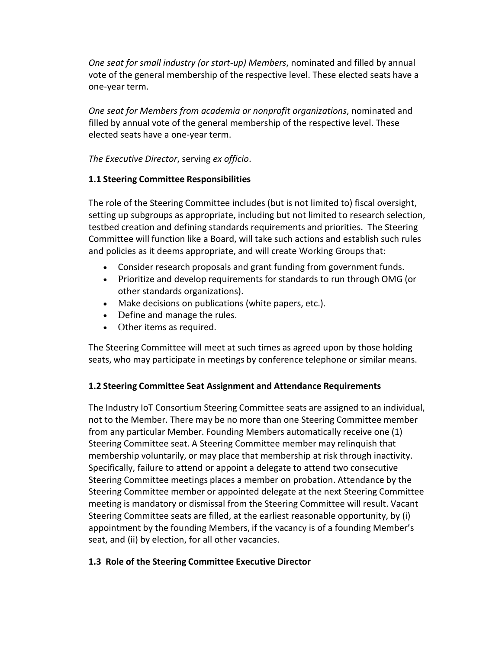*One seat for small industry (or start-up) Members*, nominated and filled by annual vote of the general membership of the respective level. These elected seats have a one-year term.

*One seat for Members from academia or nonprofit organizations*, nominated and filled by annual vote of the general membership of the respective level. These elected seats have a one-year term.

*The Executive Director*, serving *ex officio*.

## **1.1 Steering Committee Responsibilities**

The role of the Steering Committee includes (but is not limited to) fiscal oversight, setting up subgroups as appropriate, including but not limited to research selection, testbed creation and defining standards requirements and priorities. The Steering Committee will function like a Board, will take such actions and establish such rules and policies as it deems appropriate, and will create Working Groups that:

- Consider research proposals and grant funding from government funds.
- Prioritize and develop requirements for standards to run through OMG (or other standards organizations).
- Make decisions on publications (white papers, etc.).
- Define and manage the rules.
- Other items as required.

The Steering Committee will meet at such times as agreed upon by those holding seats, who may participate in meetings by conference telephone or similar means.

## **1.2 Steering Committee Seat Assignment and Attendance Requirements**

The Industry IoT Consortium Steering Committee seats are assigned to an individual, not to the Member. There may be no more than one Steering Committee member from any particular Member. Founding Members automatically receive one (1) Steering Committee seat. A Steering Committee member may relinquish that membership voluntarily, or may place that membership at risk through inactivity. Specifically, failure to attend or appoint a delegate to attend two consecutive Steering Committee meetings places a member on probation. Attendance by the Steering Committee member or appointed delegate at the next Steering Committee meeting is mandatory or dismissal from the Steering Committee will result. Vacant Steering Committee seats are filled, at the earliest reasonable opportunity, by (i) appointment by the founding Members, if the vacancy is of a founding Member's seat, and (ii) by election, for all other vacancies.

## **1.3 Role of the Steering Committee Executive Director**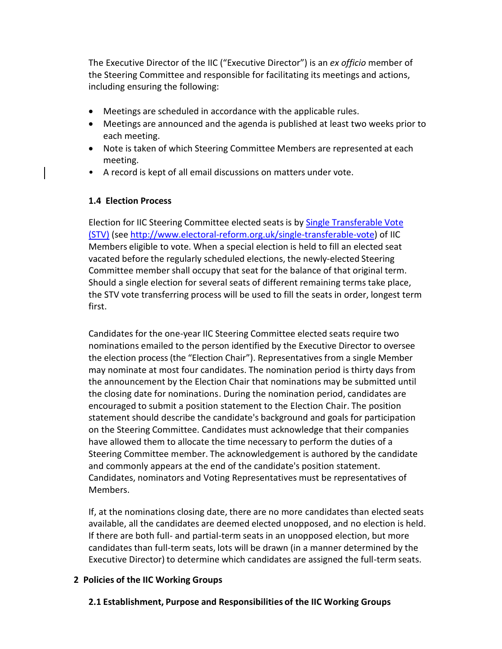The Executive Director of the IIC ("Executive Director") is an *ex officio* member of the Steering Committee and responsible for facilitating its meetings and actions, including ensuring the following:

- Meetings are scheduled in accordance with the applicable rules.
- Meetings are announced and the agenda is published at least two weeks prior to each meeting.
- Note is taken of which Steering Committee Members are represented at each meeting.
- A record is kept of all email discussions on matters under vote.

#### **1.4 Election Process**

Election for IIC Steering Committee elected seats is by Single [Transferable](http://www.electoral-reform.org.uk/single-transferable-vote) Vote [\(STV\)](http://www.electoral-reform.org.uk/single-transferable-vote) (see [http://www.electoral-reform.org.uk/single-transferable-vote\)](http://www.electoral-reform.org.uk/single-transferable-vote) of IIC Members eligible to vote. When a special election is held to fill an elected seat vacated before the regularly scheduled elections, the newly-elected Steering Committee member shall occupy that seat for the balance of that original term. Should a single election for several seats of different remaining terms take place, the STV vote transferring process will be used to fill the seats in order, longest term first.

Candidates for the one-year IIC Steering Committee elected seats require two nominations emailed to the person identified by the Executive Director to oversee the election process (the "Election Chair"). Representatives from a single Member may nominate at most four candidates. The nomination period is thirty days from the announcement by the Election Chair that nominations may be submitted until the closing date for nominations. During the nomination period, candidates are encouraged to submit a position statement to [the](mailto:nominations@iiconsortium.org) Election Chair. The position statement should describe the candidate's background and goals for participation on the Steering Committee. Candidates must acknowledge that their companies have allowed them to allocate the time necessary to perform the duties of a Steering Committee member. The acknowledgement is authored by the candidate and commonly appears at the end of the candidate's position statement. Candidates, nominators and Voting Representatives must be representatives of Members.

If, at the nominations closing date, there are no more candidates than elected seats available, all the candidates are deemed elected unopposed, and no election is held. If there are both full- and partial-term seats in an unopposed election, but more candidates than full-term seats, lots will be drawn (in a manner determined by the Executive Director) to determine which candidates are assigned the full-term seats.

#### **2 Policies of the IIC Working Groups**

#### **2.1 Establishment, Purpose and Responsibilities of the IIC Working Groups**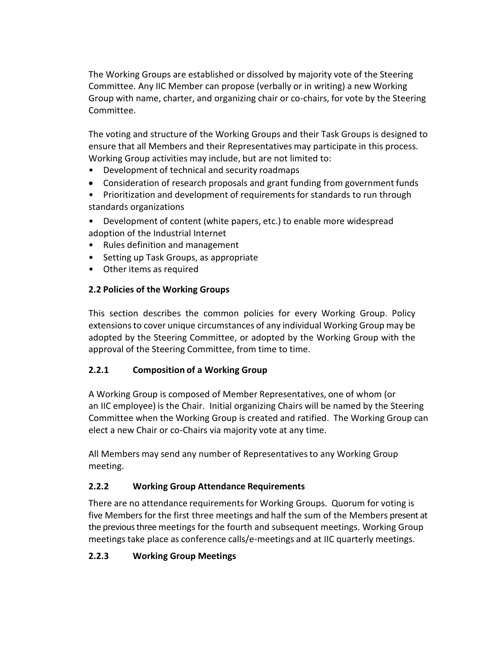The Working Groups are established or dissolved by majority vote of the Steering Committee. Any IIC Member can propose (verbally or in writing) a new Working Group with name, charter, and organizing chair or co-chairs, for vote by the Steering Committee.

The voting and structure of the Working Groups and their Task Groups is designed to ensure that all Members and their Representatives may participate in this process. Working Group activities may include, but are not limited to:

- Development of technical and security roadmaps
- Consideration of research proposals and grant funding from government funds
- Prioritization and development of requirements for standards to run through standards organizations
- Development of content (white papers, etc.) to enable more widespread adoption of the Industrial Internet
- Rules definition and management
- Setting up Task Groups, as appropriate
- Other items as required

# **2.2 Policies of the Working Groups**

This section describes the common policies for every Working Group. Policy extensions to cover unique circumstances of any individual Working Group may be adopted by the Steering Committee, or adopted by the Working Group with the approval of the Steering Committee, from time to time.

# **2.2.1 Composition of a Working Group**

A Working Group is composed of Member Representatives, one of whom (or an IIC employee) is the Chair. Initial organizing Chairs will be named by the Steering Committee when the Working Group is created and ratified. The Working Group can elect a new Chair or co-Chairs via majority vote at any time.

All Members may send any number of Representatives to any Working Group meeting.

# **2.2.2 Working Group Attendance Requirements**

There are no attendance requirements for Working Groups. Quorum for voting is five Members for the first three meetings and half the sum of the Members present at the previous three meetings for the fourth and subsequent meetings. Working Group meetings take place as conference calls/e-meetings and at IIC quarterly meetings.

# **2.2.3 Working Group Meetings**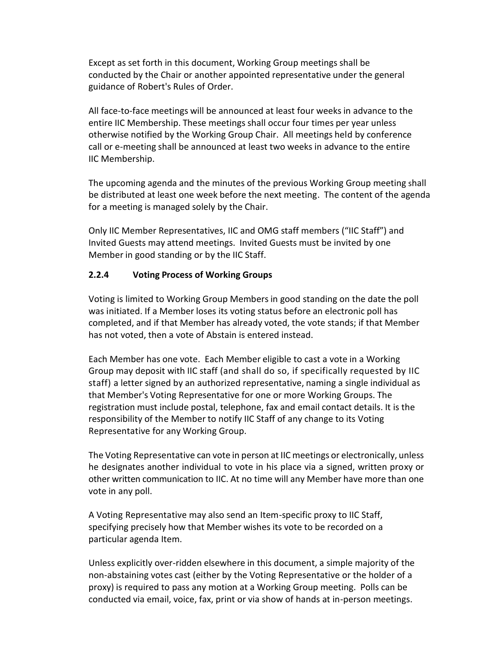Except as set forth in this document, Working Group meetings shall be conducted by the Chair or another appointed representative under the general guidance of Robert's Rules of Order.

All face-to-face meetings will be announced at least four weeks in advance to the entire IIC Membership. These meetings shall occur four times per year unless otherwise notified by the Working Group Chair. All meetings held by conference call or e-meeting shall be announced at least two weeks in advance to the entire IIC Membership.

The upcoming agenda and the minutes of the previous Working Group meeting shall be distributed at least one week before the next meeting. The content of the agenda for a meeting is managed solely by the Chair.

Only IIC Member Representatives, IIC and OMG staff members ("IIC Staff") and Invited Guests may attend meetings. Invited Guests must be invited by one Member in good standing or by the IIC Staff.

## **2.2.4 Voting Process of Working Groups**

Voting is limited to Working Group Membersin good standing on the date the poll was initiated. If a Member loses its voting status before an electronic poll has completed, and if that Member has already voted, the vote stands; if that Member has not voted, then a vote of Abstain is entered instead.

Each Member has one vote. Each Member eligible to cast a vote in a Working Group may deposit with IIC staff (and shall do so, if specifically requested by IIC staff) a letter signed by an authorized representative, naming a single individual as that Member's Voting Representative for one or more Working Groups. The registration must include postal, telephone, fax and email contact details. It is the responsibility of the Member to notify IIC Staff of any change to its Voting Representative for any Working Group.

The Voting Representative can vote in person at IIC meetings or electronically, unless he designates another individual to vote in his place via a signed, written proxy or other written communication to IIC. At no time will any Member have more than one vote in any poll.

A Voting Representative may also send an Item-specific proxy to IIC Staff, specifying precisely how that Member wishes its vote to be recorded on a particular agenda Item.

Unless explicitly over-ridden elsewhere in this document, a simple majority of the non-abstaining votes cast (either by the Voting Representative or the holder of a proxy) is required to pass any motion at a Working Group meeting. Polls can be conducted via email, voice, fax, print or via show of hands at in-person meetings.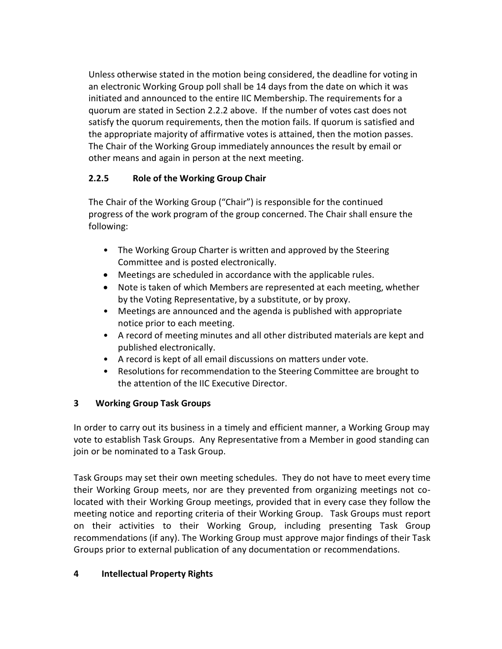Unless otherwise stated in the motion being considered, the deadline for voting in an electronic Working Group poll shall be 14 days from the date on which it was initiated and announced to the entire IIC Membership. The requirements for a quorum are stated in Section 2.2.2 above. If the number of votes cast does not satisfy the quorum requirements, then the motion fails. If quorum is satisfied and the appropriate majority of affirmative votes is attained, then the motion passes. The Chair of the Working Group immediately announces the result by email or other means and again in person at the next meeting.

# **2.2.5 Role of the Working Group Chair**

The Chair of the Working Group ("Chair") is responsible for the continued progress of the work program of the group concerned. The Chair shall ensure the following:

- The Working Group Charter is written and approved by the Steering Committee and is posted electronically.
- Meetings are scheduled in accordance with the applicable rules.
- Note is taken of which Members are represented at each meeting, whether by the Voting Representative, by a substitute, or by proxy.
- Meetings are announced and the agenda is published with appropriate notice prior to each meeting.
- A record of meeting minutes and all other distributed materials are kept and published electronically.
- A record is kept of all email discussions on matters under vote.
- Resolutions for recommendation to the Steering Committee are brought to the attention of the IIC Executive Director.

# **3 Working Group Task Groups**

In order to carry out its business in a timely and efficient manner, a Working Group may vote to establish Task Groups. Any Representative from a Member in good standing can join or be nominated to a Task Group.

Task Groups may set their own meeting schedules. They do not have to meet every time their Working Group meets, nor are they prevented from organizing meetings not colocated with their Working Group meetings, provided that in every case they follow the meeting notice and reporting criteria of their Working Group. Task Groups must report on their activities to their Working Group, including presenting Task Group recommendations (if any). The Working Group must approve major findings of their Task Groups prior to external publication of any documentation or recommendations.

# **4 Intellectual Property Rights**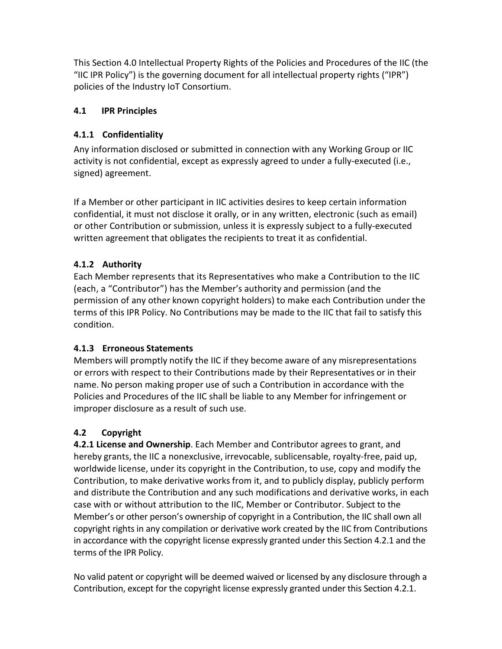This Section 4.0 Intellectual Property Rights of the Policies and Procedures of the IIC (the "IIC IPR Policy") is the governing document for all intellectual property rights ("IPR") policies of the Industry IoT Consortium.

## **4.1 IPR Principles**

## **4.1.1 Confidentiality**

Any information disclosed or submitted in connection with any Working Group or IIC activity is not confidential, except as expressly agreed to under a fully-executed (i.e., signed) agreement.

If a Member or other participant in IIC activities desires to keep certain information confidential, it must not disclose it orally, or in any written, electronic (such as email) or other Contribution or submission, unless it is expressly subject to a fully-executed written agreement that obligates the recipients to treat it as confidential.

## **4.1.2 Authority**

Each Member represents that its Representatives who make a Contribution to the IIC (each, a "Contributor") has the Member's authority and permission (and the permission of any other known copyright holders) to make each Contribution under the terms of this IPR Policy. No Contributions may be made to the IIC that fail to satisfy this condition.

## **4.1.3 Erroneous Statements**

Members will promptly notify the IIC if they become aware of any misrepresentations or errors with respect to their Contributions made by their Representatives or in their name. No person making proper use of such a Contribution in accordance with the Policies and Procedures of the IIC shall be liable to any Member for infringement or improper disclosure as a result of such use.

# **4.2 Copyright**

**4.2.1 License and Ownership**. Each Member and Contributor agrees to grant, and hereby grants, the IIC a nonexclusive, irrevocable, sublicensable, royalty-free, paid up, worldwide license, under its copyright in the Contribution, to use, copy and modify the Contribution, to make derivative works from it, and to publicly display, publicly perform and distribute the Contribution and any such modifications and derivative works, in each case with or without attribution to the IIC, Member or Contributor. Subject to the Member's or other person's ownership of copyright in a Contribution, the IIC shall own all copyright rights in any compilation or derivative work created by the IIC from Contributions in accordance with the copyright license expressly granted under this Section 4.2.1 and the terms of the IPR Policy.

No valid patent or copyright will be deemed waived or licensed by any disclosure through a Contribution, except for the copyright license expressly granted under this Section 4.2.1.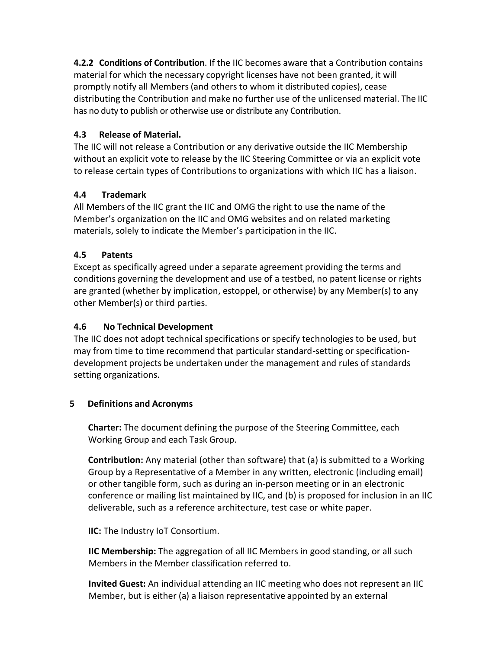**4.2.2 Conditions of Contribution**. If the IIC becomes aware that a Contribution contains material for which the necessary copyright licenses have not been granted, it will promptly notify all Members (and others to whom it distributed copies), cease distributing the Contribution and make no further use of the unlicensed material. The IIC has no duty to publish or otherwise use or distribute any Contribution.

# **4.3 Release of Material.**

The IIC will not release a Contribution or any derivative outside the IIC Membership without an explicit vote to release by the IIC Steering Committee or via an explicit vote to release certain types of Contributions to organizations with which IIC has a liaison.

## **4.4 Trademark**

All Members of the IIC grant the IIC and OMG the right to use the name of the Member's organization on the IIC and OMG websites and on related marketing materials, solely to indicate the Member's participation in the IIC.

## **4.5 Patents**

Except as specifically agreed under a separate agreement providing the terms and conditions governing the development and use of a testbed, no patent license or rights are granted (whether by implication, estoppel, or otherwise) by any Member(s) to any other Member(s) or third parties.

# **4.6 No Technical Development**

The IIC does not adopt technical specifications or specify technologies to be used, but may from time to time recommend that particular standard-setting or specificationdevelopment projects be undertaken under the management and rules of standards setting organizations.

# **5 Definitions and Acronyms**

**Charter:** The document defining the purpose of the Steering Committee, each Working Group and each Task Group.

**Contribution:** Any material (other than software) that (a) is submitted to a Working Group by a Representative of a Member in any written, electronic (including email) or other tangible form, such as during an in-person meeting or in an electronic conference or mailing list maintained by IIC, and (b) is proposed for inclusion in an IIC deliverable, such as a reference architecture, test case or white paper.

**IIC:** The Industry IoT Consortium.

**IIC Membership:** The aggregation of all IIC Members in good standing, or all such Members in the Member classification referred to.

**Invited Guest:** An individual attending an IIC meeting who does not represent an IIC Member, but is either (a) a liaison representative appointed by an external